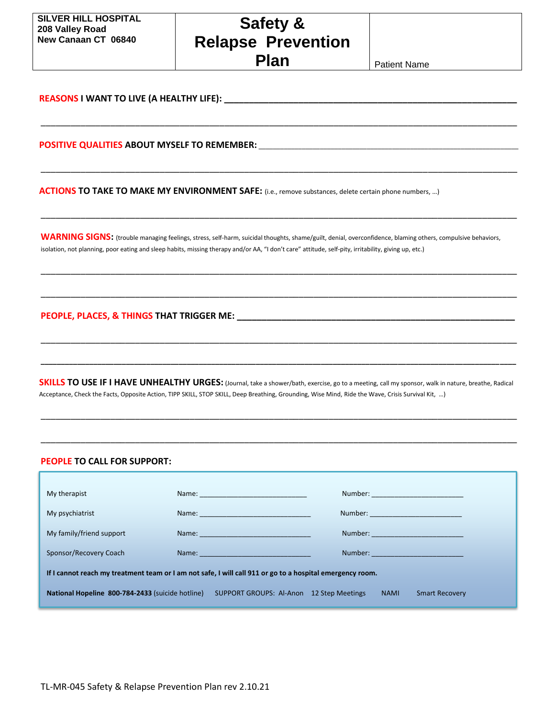**Safety & Relapse Prevention Plan Plan** Patient Name

\_\_\_\_\_\_\_\_\_\_\_\_\_\_\_\_\_\_\_\_\_\_\_\_\_\_\_\_\_\_\_\_\_\_\_\_\_\_\_\_\_\_\_\_\_\_\_\_\_\_\_\_\_\_\_\_\_\_\_\_\_\_\_\_\_\_\_\_\_\_\_\_\_\_\_\_\_\_\_\_\_\_\_\_\_\_\_\_\_\_\_\_\_\_\_\_

\_\_\_\_\_\_\_\_\_\_\_\_\_\_\_\_\_\_\_\_\_\_\_\_\_\_\_\_\_\_\_\_\_\_\_\_\_\_\_\_\_\_\_\_\_\_\_\_\_\_\_\_\_\_\_\_\_\_\_\_\_\_\_\_\_\_\_\_\_\_\_\_\_\_\_\_\_\_\_\_\_\_\_\_\_\_\_\_\_\_\_\_\_\_\_\_

\_\_\_\_\_\_\_\_\_\_\_\_\_\_\_\_\_\_\_\_\_\_\_\_\_\_\_\_\_\_\_\_\_\_\_\_\_\_\_\_\_\_\_\_\_\_\_\_\_\_\_\_\_\_\_\_\_\_\_\_\_\_\_\_\_\_\_\_\_\_\_\_\_\_\_\_\_\_\_\_\_\_\_\_\_\_\_\_\_\_\_\_\_\_\_\_

\_\_\_\_\_\_\_\_\_\_\_\_\_\_\_\_\_\_\_\_\_\_\_\_\_\_\_\_\_\_\_\_\_\_\_\_\_\_\_\_\_\_\_\_\_\_\_\_\_\_\_\_\_\_\_\_\_\_\_\_\_\_\_\_\_\_\_\_\_\_\_\_\_\_\_\_\_\_\_\_\_\_\_\_\_\_\_\_\_\_\_\_\_\_\_\_

\_\_\_\_\_\_\_\_\_\_\_\_\_\_\_\_\_\_\_\_\_\_\_\_\_\_\_\_\_\_\_\_\_\_\_\_\_\_\_\_\_\_\_\_\_\_\_\_\_\_\_\_\_\_\_\_\_\_\_\_\_\_\_\_\_\_\_\_\_\_\_\_\_\_\_\_\_\_\_\_\_\_\_\_\_\_\_\_\_\_\_\_\_\_\_\_

\_\_\_\_\_\_\_\_\_\_\_\_\_\_\_\_\_\_\_\_\_\_\_\_\_\_\_\_\_\_\_\_\_\_\_\_\_\_\_\_\_\_\_\_\_\_\_\_\_\_\_\_\_\_\_\_\_\_\_\_\_\_\_\_\_\_\_\_\_\_\_\_\_\_\_\_\_\_\_\_\_\_\_\_\_\_\_\_\_\_\_\_\_\_\_\_

**\_\_\_\_\_\_\_\_\_\_\_\_\_\_\_\_\_\_\_\_\_\_\_\_\_\_\_\_\_\_\_\_\_\_\_\_\_\_\_\_\_\_\_\_\_\_\_\_\_\_\_\_\_\_\_\_\_\_\_\_\_\_\_\_\_\_\_\_\_\_\_\_\_\_\_\_\_\_\_\_\_\_\_\_\_\_\_\_\_\_\_\_\_\_\_\_\_\_\_\_\_\_\_\_\_\_\_\_\_\_\_\_\_\_\_\_\_**

**REASONS I WANT TO LIVE (A HEALTHY LIFE): \_\_\_\_\_\_\_\_\_\_\_\_\_\_\_\_\_\_\_\_\_\_\_\_\_\_\_\_\_\_\_\_\_\_\_\_\_\_\_\_\_\_\_\_\_\_\_\_\_\_\_\_\_\_\_\_\_\_\_**

**POSITIVE QUALITIES ABOUT MYSELF TO REMEMBER:** \_\_\_\_\_\_\_\_\_\_\_\_\_\_\_\_\_\_\_\_\_\_\_\_\_\_\_\_\_\_\_\_\_\_\_\_\_\_\_\_\_\_\_\_\_\_\_\_\_\_\_\_\_\_\_\_\_\_\_\_\_\_\_\_\_\_\_\_\_\_\_\_

**ACTIONS TO TAKE TO MAKE MY ENVIRONMENT SAFE:** (i.e., remove substances, delete certain phone numbers, …)

WARNING SIGNS: (trouble managing feelings, stress, self-harm, suicidal thoughts, shame/guilt, denial, overconfidence, blaming others, compulsive behaviors, isolation, not planning, poor eating and sleep habits, missing therapy and/or AA, "I don't care" attitude, self-pity, irritability, giving up, etc.)

**PEOPLE, PLACES, & THINGS THAT TRIGGER ME: \_\_\_\_\_\_\_\_\_\_\_\_\_\_\_\_\_\_\_\_\_\_\_\_\_\_\_\_\_\_\_\_\_\_\_\_\_\_\_\_\_\_\_\_\_\_\_\_\_\_\_\_\_\_\_\_**

**SKILLS TO USE IF I HAVE UNHEALTHY URGES:** (Journal, take a shower/bath, exercise, go to a meeting, call my sponsor, walk in nature, breathe, Radical Acceptance, Check the Facts, Opposite Action, TIPP SKILL, STOP SKILL, Deep Breathing, Grounding, Wise Mind, Ride the Wave, Crisis Survival Kit, …)

\_\_\_\_\_\_\_\_\_\_\_\_\_\_\_\_\_\_\_\_\_\_\_\_\_\_\_\_\_\_\_\_\_\_\_\_\_\_\_\_\_\_\_\_\_\_\_\_\_\_\_\_\_\_\_\_\_\_\_\_\_\_\_\_\_\_\_\_\_\_\_\_\_\_\_\_\_\_\_\_\_\_\_\_\_\_\_\_\_\_\_\_\_\_\_\_

\_\_\_\_\_\_\_\_\_\_\_\_\_\_\_\_\_\_\_\_\_\_\_\_\_\_\_\_\_\_\_\_\_\_\_\_\_\_\_\_\_\_\_\_\_\_\_\_\_\_\_\_\_\_\_\_\_\_\_\_\_\_\_\_\_\_\_\_\_\_\_\_\_\_\_\_\_\_\_\_\_\_\_\_\_\_\_\_\_\_\_\_\_\_\_\_

## **PEOPLE TO CALL FOR SUPPORT:**

| My therapist                                                                                              |                                                                                                                                                                                                                               | Number: ____________________________  |  |  |
|-----------------------------------------------------------------------------------------------------------|-------------------------------------------------------------------------------------------------------------------------------------------------------------------------------------------------------------------------------|---------------------------------------|--|--|
|                                                                                                           |                                                                                                                                                                                                                               |                                       |  |  |
| My psychiatrist                                                                                           |                                                                                                                                                                                                                               | Number: ____________________________  |  |  |
| My family/friend support                                                                                  |                                                                                                                                                                                                                               | Number: _____________________________ |  |  |
| Sponsor/Recovery Coach                                                                                    | Name: Name: Name: Name: Name: Name: Name: Name: Name: Name: Name: Name: Name: Name: Name: Name: Name: Name: Name: Name: Name: Name: Name: Name: Name: Name: Name: Name: Name: Name: Name: Name: Name: Name: Name: Name: Name: |                                       |  |  |
| If I cannot reach my treatment team or I am not safe, I will call 911 or go to a hospital emergency room. |                                                                                                                                                                                                                               |                                       |  |  |
| National Hopeline 800-784-2433 (suicide hotline)                                                          | SUPPORT GROUPS: Al-Anon 12 Step Meetings                                                                                                                                                                                      | <b>NAMI</b><br><b>Smart Recovery</b>  |  |  |